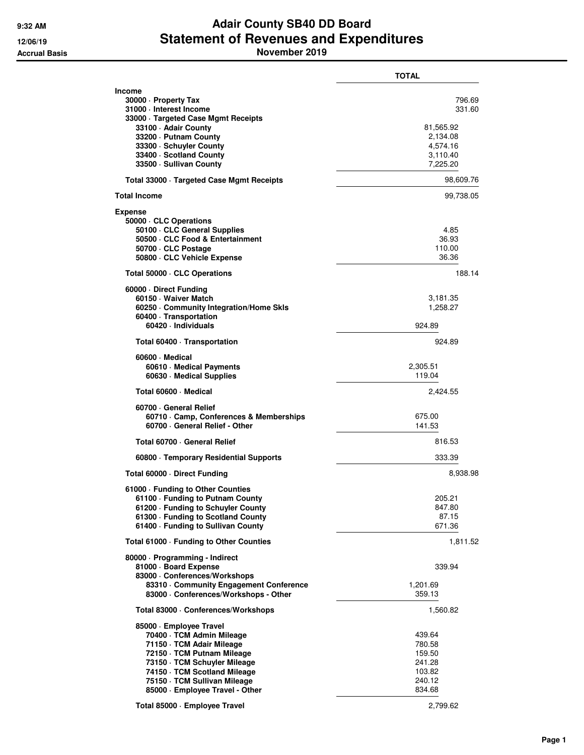## **9:32 AM Adair County SB40 DD Board 12/06/19 Statement of Revenues and Expenditures Accrual Basis November 2019**

|                                                                                                                                                                                                                                                    | <b>TOTAL</b>                                                                  |
|----------------------------------------------------------------------------------------------------------------------------------------------------------------------------------------------------------------------------------------------------|-------------------------------------------------------------------------------|
| Income<br>30000 - Property Tax<br>31000 - Interest Income<br>33000 · Targeted Case Mgmt Receipts<br>33100 - Adair County<br>33200 - Putnam County<br>33300 · Schuyler County<br>33400 · Scotland County<br>33500 · Sullivan County                 | 796.69<br>331.60<br>81,565.92<br>2,134.08<br>4,574.16<br>3,110.40<br>7,225.20 |
| Total 33000 · Targeted Case Mgmt Receipts                                                                                                                                                                                                          | 98,609.76                                                                     |
| Total Income                                                                                                                                                                                                                                       | 99,738.05                                                                     |
| Expense<br>50000 · CLC Operations<br>50100 · CLC General Supplies<br>50500 CLC Food & Entertainment<br>50700 CLC Postage<br>50800 CLC Vehicle Expense                                                                                              | 4.85<br>36.93<br>110.00<br>36.36                                              |
| Total 50000 · CLC Operations                                                                                                                                                                                                                       | 188.14                                                                        |
| 60000 Direct Funding<br>60150 · Waiver Match<br>60250 Community Integration/Home Skls<br>60400 · Transportation<br>60420 · Individuals                                                                                                             | 3,181.35<br>1,258.27<br>924.89                                                |
| Total 60400 · Transportation                                                                                                                                                                                                                       | 924.89                                                                        |
| 60600 Medical<br>60610 · Medical Payments<br>60630 · Medical Supplies                                                                                                                                                                              | 2,305.51<br>119.04                                                            |
| Total 60600 · Medical                                                                                                                                                                                                                              | 2,424.55                                                                      |
| 60700 General Relief<br>60710 Camp, Conferences & Memberships<br>60700 · General Relief - Other                                                                                                                                                    | 675.00<br>141.53                                                              |
| Total 60700 · General Relief                                                                                                                                                                                                                       | 816.53                                                                        |
| 60800 · Temporary Residential Supports                                                                                                                                                                                                             | 333.39                                                                        |
| Total 60000 Direct Funding                                                                                                                                                                                                                         | 8,938.98                                                                      |
| 61000 - Funding to Other Counties<br>61100 · Funding to Putnam County<br>61200 - Funding to Schuyler County<br>61300 - Funding to Scotland County<br>61400 - Funding to Sullivan County                                                            | 205.21<br>847.80<br>87.15<br>671.36                                           |
| Total 61000 - Funding to Other Counties                                                                                                                                                                                                            | 1,811.52                                                                      |
| 80000 · Programming - Indirect<br>81000 · Board Expense<br>83000 · Conferences/Workshops<br>83310 Community Engagement Conference                                                                                                                  | 339.94<br>1,201.69                                                            |
| 83000 · Conferences/Workshops - Other                                                                                                                                                                                                              | 359.13                                                                        |
| Total 83000 · Conferences/Workshops                                                                                                                                                                                                                | 1,560.82                                                                      |
| 85000 · Employee Travel<br>70400 · TCM Admin Mileage<br>71150 · TCM Adair Mileage<br>72150 · TCM Putnam Mileage<br>73150 · TCM Schuyler Mileage<br>74150 · TCM Scotland Mileage<br>75150 · TCM Sullivan Mileage<br>85000 · Employee Travel - Other | 439.64<br>780.58<br>159.50<br>241.28<br>103.82<br>240.12<br>834.68            |
| Total 85000 · Employee Travel                                                                                                                                                                                                                      | 2,799.62                                                                      |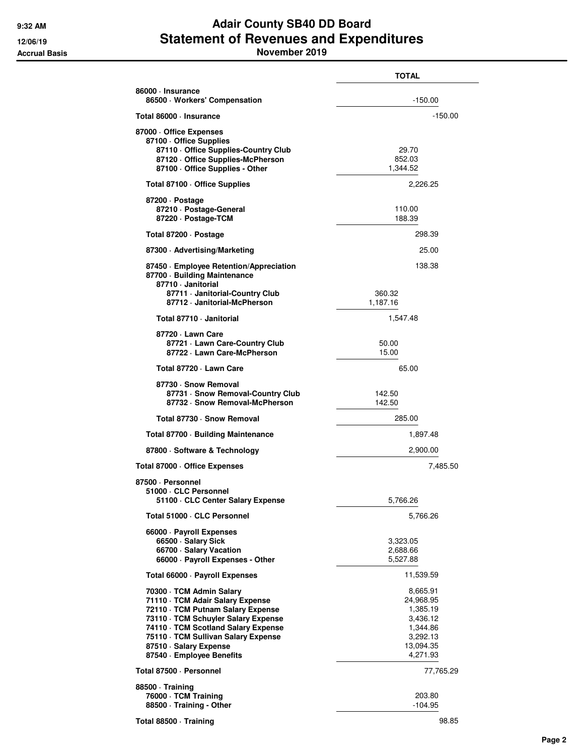## **9:32 AM Adair County SB40 DD Board 12/06/19 Statement of Revenues and Expenditures**

**TOTAL 86000 · Insurance 86500 · Workers' Compensation** -150.00 **Total 86000 · Insurance** -150.00 **87000 · Office Expenses 87100 · Office Supplies 87110 · Office Supplies-Country Club** 29.70<br>**87120 · Office Supplies-McPherson** 252.03 **87120 · Office Supplies-McPherson** 852.03<br>**87100 · Office Supplies - Other 862.03** 87100 · Office Supplies - Other Total 87100 · Office Supplies **2,226.25 87200 · Postage 87210 · Postage-General** 110.00 87220 · Postage-TCM **Total 87200 · Postage 298.39 87300 · Advertising/Marketing** 25.00 **87450 · Employee Retention/Appreciation** 138.38 **87700 · Building Maintenance 87710 · Janitorial 87711 · Janitorial-Country Club** 360.32<br>**87712 · Janitorial-McPherson** 31,187.16 87712 · Janitorial-McPherson **Total 87710 · Janitorial** 1,547.48 **87720 · Lawn Care 87721 · Lawn Care-Country Club** 50.00<br>15.00 **87722 · Lawn Care-McPherson 87722 · Lawn Care-McPherson Total 87720 · Lawn Care** 65.00 **87730 · Snow Removal 87731 · Snow Removal-Country Club** 142.50<br>**87732 · Snow Removal-McPherson** 142.50 87732 · Snow Removal-McPherson **Total 87730 · Snow Removal 285.00** Total 87700 · Building Maintenance 1,897.48 **87800 · Software & Technology** 2,900.00 Total 87000 · Office Expenses 7,485.50 **87500 · Personnel 51000 · CLC Personnel 51100 · CLC Center Salary Expense** 5,766.26 **Total 51000 · CLC Personnel 5,766.26 66000 · Payroll Expenses 66500 · Salary Sick 3,323.05**<br>**66700 · Salary Vacation** 3,323.05 **66700 · Salary Vacation** 2,688.66 66000 · Payroll Expenses - Other Total 66000 · Payroll Expenses **11,539.59 70300 · TCM Admin Salary 8,665.91 / 8,665.91 / 8,665.91 / 8,665.91 / 8,665.91 / 8,665.91 / 8,665.91 / 8,665.91**<br>**84.968.95 / 87.968.95 / 87.968.95 / 87.968.95 / 87.968.95 / 87.968.95 / 87.968.95 / 87.968.95 / 87.968.95 /** 71110 · TCM Adair Salary Expense **72110 · TCM Putnam Salary Expense** 1,385.19 **73110 · TCM Schuyler Salary Expense** 3,436.12<br>**74110 · TCM Scotland Salary Expense** 3,444.86 **74110 · TCM Scotland Salary Expense** 1,344.86<br>**75110 · TCM Sullivan Salary Expense** 1,282,13 **75110 · TCM Sullivan Salary Expense** 3,292.13 **87510 · Salary Expense 13,094.35 · Salary Expense 13,094.35 · Salary Expense 13,094.35 · Salary Fig. 2013<br>14,271.93 · Salary Expense 11, 2013 · Salary Fig. 2014 · Salary Fig. 2014 · Salary Fig. 2014 · Salary Fig. 201** 87540 · Employee Benefits **Total 87500 · Personnel** 77,765.29 **88500 · Training 76000 · TCM Training** 203.80 **88500 · Training - Other Accrual Basis November 2019**

**Total 88500 · Training** 98.85